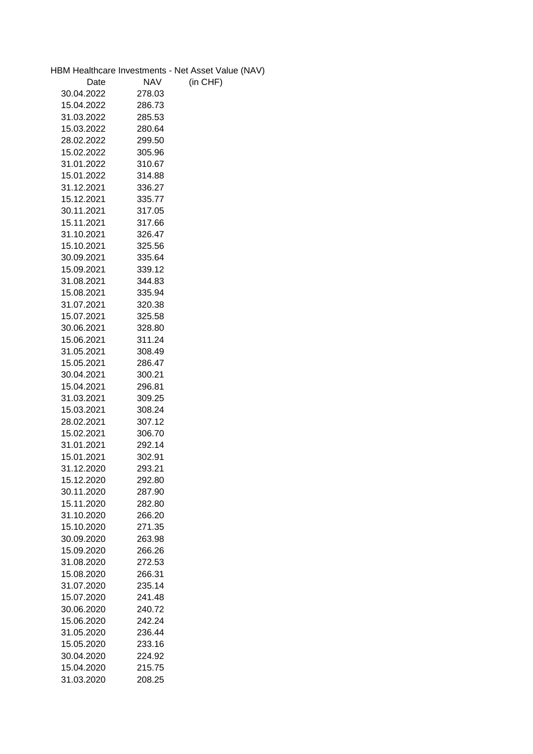|            |            | HBM Healthcare Investments - Net Asset Value (NAV) |
|------------|------------|----------------------------------------------------|
| Date       | <b>NAV</b> | (in CHF)                                           |
| 30.04.2022 | 278.03     |                                                    |
| 15.04.2022 | 286.73     |                                                    |
| 31.03.2022 | 285.53     |                                                    |
| 15.03.2022 | 280.64     |                                                    |
| 28.02.2022 | 299.50     |                                                    |
| 15.02.2022 | 305.96     |                                                    |
| 31.01.2022 | 310.67     |                                                    |
| 15.01.2022 | 314.88     |                                                    |
| 31.12.2021 | 336.27     |                                                    |
| 15.12.2021 | 335.77     |                                                    |
| 30.11.2021 | 317.05     |                                                    |
| 15.11.2021 | 317.66     |                                                    |
| 31.10.2021 | 326.47     |                                                    |
| 15.10.2021 | 325.56     |                                                    |
| 30.09.2021 | 335.64     |                                                    |
| 15.09.2021 | 339.12     |                                                    |
| 31.08.2021 |            |                                                    |
|            | 344.83     |                                                    |
| 15.08.2021 | 335.94     |                                                    |
| 31.07.2021 | 320.38     |                                                    |
| 15.07.2021 | 325.58     |                                                    |
| 30.06.2021 | 328.80     |                                                    |
| 15.06.2021 | 311.24     |                                                    |
| 31.05.2021 | 308.49     |                                                    |
| 15.05.2021 | 286.47     |                                                    |
| 30.04.2021 | 300.21     |                                                    |
| 15.04.2021 | 296.81     |                                                    |
| 31.03.2021 | 309.25     |                                                    |
| 15.03.2021 | 308.24     |                                                    |
| 28.02.2021 | 307.12     |                                                    |
| 15.02.2021 | 306.70     |                                                    |
| 31.01.2021 | 292.14     |                                                    |
| 15.01.2021 | 302.91     |                                                    |
| 31.12.2020 | 293.21     |                                                    |
| 15.12.2020 | 292.80     |                                                    |
| 30.11.2020 | 287.90     |                                                    |
| 15.11.2020 | 282.80     |                                                    |
| 31.10.2020 | 266.20     |                                                    |
| 15.10.2020 | 271.35     |                                                    |
| 30.09.2020 | 263.98     |                                                    |
| 15.09.2020 | 266.26     |                                                    |
| 31.08.2020 | 272.53     |                                                    |
| 15.08.2020 | 266.31     |                                                    |
| 31.07.2020 | 235.14     |                                                    |
| 15.07.2020 | 241.48     |                                                    |
| 30.06.2020 | 240.72     |                                                    |
| 15.06.2020 | 242.24     |                                                    |
| 31.05.2020 | 236.44     |                                                    |
| 15.05.2020 | 233.16     |                                                    |
| 30.04.2020 | 224.92     |                                                    |
| 15.04.2020 | 215.75     |                                                    |
| 31.03.2020 | 208.25     |                                                    |
|            |            |                                                    |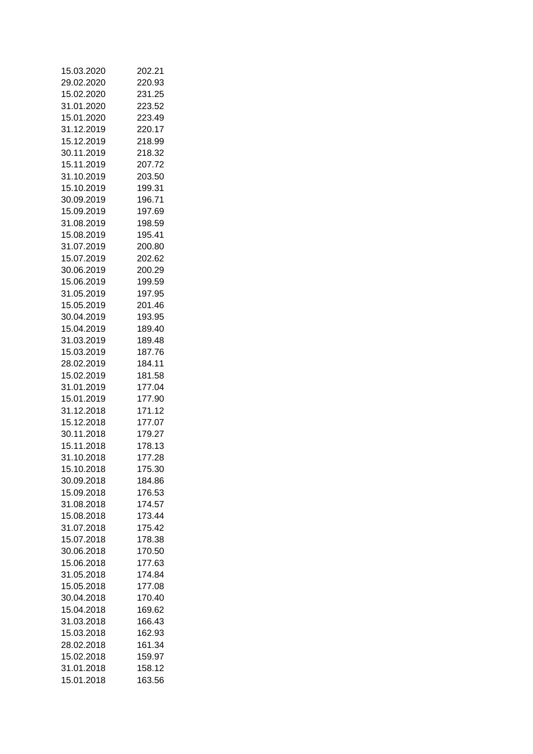| 15.03.2020               | 202.21           |
|--------------------------|------------------|
| 29.02.2020               | 220.93           |
| 15.02.2020               | 231.25           |
| 31.01.2020               | 223.52           |
| 15.01.2020               | 223.49           |
| 31.12.2019               | 220.17           |
| 15.12.2019               | 218.99           |
| 30.11.2019               | 218.32           |
| 15.11.2019               | 207.72           |
| 31.10.2019               | 203.50           |
| 15.10.2019               | 199.31           |
| 30.09.2019               | 196.71           |
|                          |                  |
| 15.09.2019               | 197.69           |
| 31.08.2019               | 198.59           |
| 15.08.2019               | 195.41           |
| 31.07.2019               | 200.80           |
| 15.07.2019               | 202.62           |
| 30.06.2019               | 200.29           |
| 15.06.2019               | 199.59           |
| 31.05.2019               | 197.95           |
| 15.05.2019               | 201.46           |
| 30.04.2019               | 193.95           |
| 15.04.2019               | 189.40           |
| 31.03.2019               | 189.48           |
| 15.03.2019               | 187.76           |
| 28.02.2019               | 184.11           |
| 15.02.2019               | 181.58           |
| 31.01.2019               | 177.04           |
| 15.01.2019               | 177.90           |
| 31.12.2018               | 171.12           |
| 15.12.2018               | 177.07           |
| 30.11.2018               | 179.27           |
|                          |                  |
| 15.11.2018<br>31.10.2018 | 178.13<br>177.28 |
|                          |                  |
| 15.10.2018               | 175.30           |
| 30.09.2018               | 184.86           |
| 15.09.2018               | 176.53           |
| 31.08.2018               | 174.57           |
| 15.08.2018               | 173.44           |
| 31.07.2018               | 175.42           |
| 15.07.2018               | 178.38           |
| 30.06.2018               | 170.50           |
| 15.06.2018               | 177.63           |
| 31.05.2018               | 174.84           |
| 15.05.2018               | 177.08           |
| 30.04.2018               | 170.40           |
| 15.04.2018               | 169.62           |
| 31.03.2018               | 166.43           |
| 15.03.2018               | 162.93           |
| 28.02.2018               | 161.34           |
| 15.02.2018               | 159.97           |
| 31.01.2018               | 158.12           |
| 15.01.2018               | 163.56           |
|                          |                  |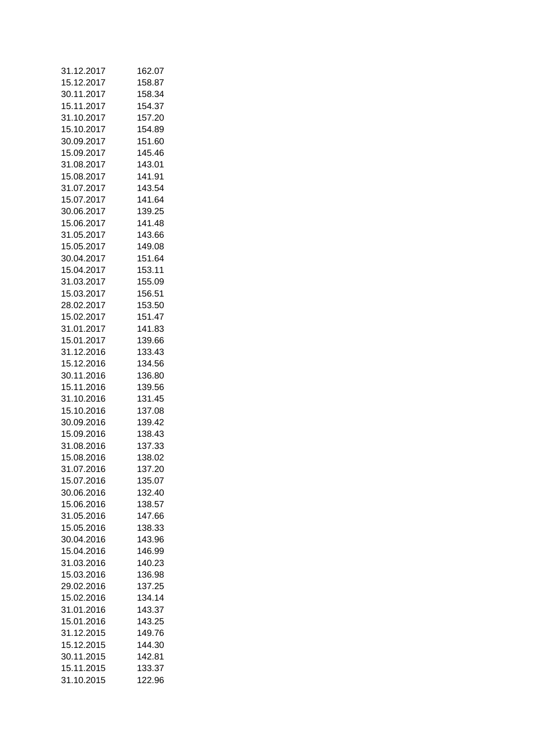| 31.12.2017 | 162.07 |
|------------|--------|
| 15.12.2017 | 158.87 |
| 30.11.2017 | 158.34 |
| 15.11.2017 | 154.37 |
| 31.10.2017 | 157.20 |
| 15.10.2017 | 154.89 |
| 30.09.2017 | 151.60 |
| 15.09.2017 | 145.46 |
| 31.08.2017 | 143.01 |
| 15.08.2017 | 141.91 |
| 31.07.2017 | 143.54 |
| 15.07.2017 | 141.64 |
|            |        |
| 30.06.2017 | 139.25 |
| 15.06.2017 | 141.48 |
| 31.05.2017 | 143.66 |
| 15.05.2017 | 149.08 |
| 30.04.2017 | 151.64 |
| 15.04.2017 | 153.11 |
| 31.03.2017 | 155.09 |
| 15.03.2017 | 156.51 |
| 28.02.2017 | 153.50 |
| 15.02.2017 | 151.47 |
| 31.01.2017 | 141.83 |
| 15.01.2017 | 139.66 |
| 31.12.2016 | 133.43 |
| 15.12.2016 | 134.56 |
| 30.11.2016 | 136.80 |
| 15.11.2016 | 139.56 |
| 31.10.2016 | 131.45 |
| 15.10.2016 | 137.08 |
| 30.09.2016 | 139.42 |
| 15.09.2016 | 138.43 |
| 31.08.2016 | 137.33 |
| 15.08.2016 | 138.02 |
| 31.07.2016 | 137.20 |
| 15.07.2016 | 135.07 |
| 30.06.2016 | 132.40 |
| 15.06.2016 | 138.57 |
| 31.05.2016 |        |
| 15.05.2016 | 147.66 |
|            | 138.33 |
| 30.04.2016 | 143.96 |
| 15.04.2016 | 146.99 |
| 31.03.2016 | 140.23 |
| 15.03.2016 | 136.98 |
| 29.02.2016 | 137.25 |
| 15.02.2016 | 134.14 |
| 31.01.2016 | 143.37 |
| 15.01.2016 | 143.25 |
| 31.12.2015 | 149.76 |
| 15.12.2015 | 144.30 |
| 30.11.2015 | 142.81 |
| 15.11.2015 | 133.37 |
| 31.10.2015 | 122.96 |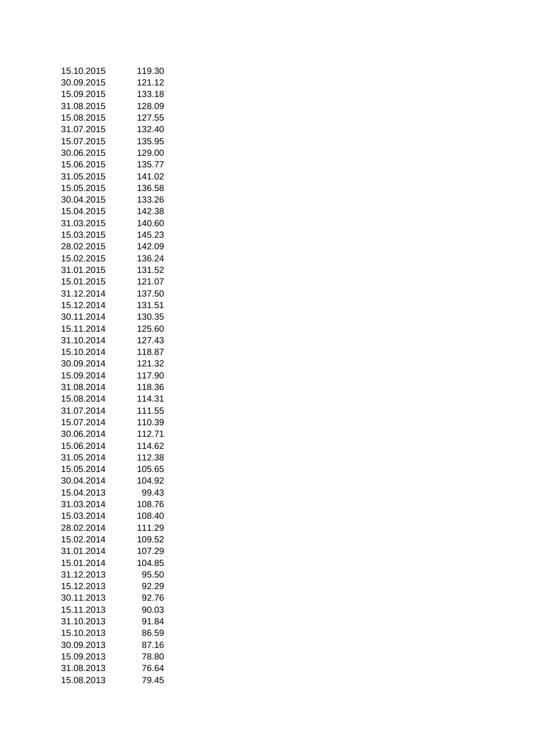| 15.10.2015 | 119.30 |
|------------|--------|
| 30.09.2015 | 121.12 |
| 15.09.2015 | 133.18 |
| 31.08.2015 | 128.09 |
| 15.08.2015 | 127.55 |
| 31.07.2015 | 132.40 |
| 15.07.2015 | 135.95 |
| 30.06.2015 | 129.00 |
| 15.06.2015 | 135.77 |
| 31.05.2015 | 141.02 |
| 15.05.2015 | 136.58 |
| 30.04.2015 |        |
|            | 133.26 |
| 15.04.2015 | 142.38 |
| 31.03.2015 | 140.60 |
| 15.03.2015 | 145.23 |
| 28.02.2015 | 142.09 |
| 15.02.2015 | 136.24 |
| 31.01.2015 | 131.52 |
| 15.01.2015 | 121.07 |
| 31.12.2014 | 137.50 |
| 15.12.2014 | 131.51 |
| 30.11.2014 | 130.35 |
| 15.11.2014 | 125.60 |
| 31.10.2014 | 127.43 |
| 15.10.2014 | 118.87 |
| 30.09.2014 | 121.32 |
| 15.09.2014 | 117.90 |
| 31.08.2014 | 118.36 |
| 15.08.2014 | 114.31 |
| 31.07.2014 | 111.55 |
| 15.07.2014 | 110.39 |
| 30.06.2014 | 112.71 |
| 15.06.2014 | 114.62 |
| 31.05.2014 | 112.38 |
|            |        |
| 15.05.2014 | 105.65 |
| 30.04.2014 | 104.92 |
| 15.04.2013 | 99.43  |
| 31.03.2014 | 108.76 |
| 15.03.2014 | 108.40 |
| 28.02.2014 | 111.29 |
| 15.02.2014 | 109.52 |
| 31.01.2014 | 107.29 |
| 15.01.2014 | 104.85 |
| 31.12.2013 | 95.50  |
| 15.12.2013 | 92.29  |
| 30.11.2013 | 92.76  |
| 15.11.2013 | 90.03  |
| 31.10.2013 | 91.84  |
| 15.10.2013 | 86.59  |
| 30.09.2013 | 87.16  |
| 15.09.2013 | 78.80  |
| 31.08.2013 | 76.64  |
| 15.08.2013 | 79.45  |
|            |        |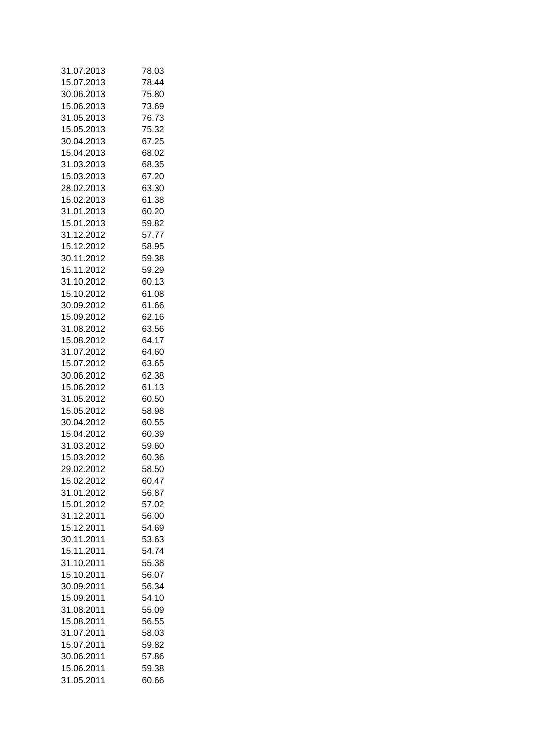| 31.07.2013 | 78.03 |
|------------|-------|
| 15.07.2013 | 78.44 |
| 30.06.2013 | 75.80 |
| 15.06.2013 | 73.69 |
| 31.05.2013 | 76.73 |
| 15.05.2013 | 75.32 |
| 30.04.2013 | 67.25 |
| 15.04.2013 | 68.02 |
| 31.03.2013 | 68.35 |
| 15.03.2013 | 67.20 |
| 28.02.2013 | 63.30 |
| 15.02.2013 | 61.38 |
|            |       |
| 31.01.2013 | 60.20 |
| 15.01.2013 | 59.82 |
| 31.12.2012 | 57.77 |
| 15.12.2012 | 58.95 |
| 30.11.2012 | 59.38 |
| 15.11.2012 | 59.29 |
| 31.10.2012 | 60.13 |
| 15.10.2012 | 61.08 |
| 30.09.2012 | 61.66 |
| 15.09.2012 | 62.16 |
| 31.08.2012 | 63.56 |
| 15.08.2012 | 64.17 |
| 31.07.2012 | 64.60 |
| 15.07.2012 | 63.65 |
| 30.06.2012 | 62.38 |
| 15.06.2012 | 61.13 |
| 31.05.2012 | 60.50 |
| 15.05.2012 | 58.98 |
| 30.04.2012 | 60.55 |
| 15.04.2012 | 60.39 |
| 31.03.2012 | 59.60 |
| 15.03.2012 | 60.36 |
| 29.02.2012 |       |
|            | 58.50 |
| 15.02.2012 | 60.47 |
| 31.01.2012 | 56.87 |
| 15.01.2012 | 57.02 |
| 31.12.2011 | 56.00 |
| 15.12.2011 | 54.69 |
| 30.11.2011 | 53.63 |
| 15.11.2011 | 54.74 |
| 31.10.2011 | 55.38 |
| 15.10.2011 | 56.07 |
| 30.09.2011 | 56.34 |
| 15.09.2011 | 54.10 |
| 31.08.2011 | 55.09 |
| 15.08.2011 | 56.55 |
| 31.07.2011 | 58.03 |
| 15.07.2011 | 59.82 |
| 30.06.2011 | 57.86 |
| 15.06.2011 | 59.38 |
| 31.05.2011 | 60.66 |
|            |       |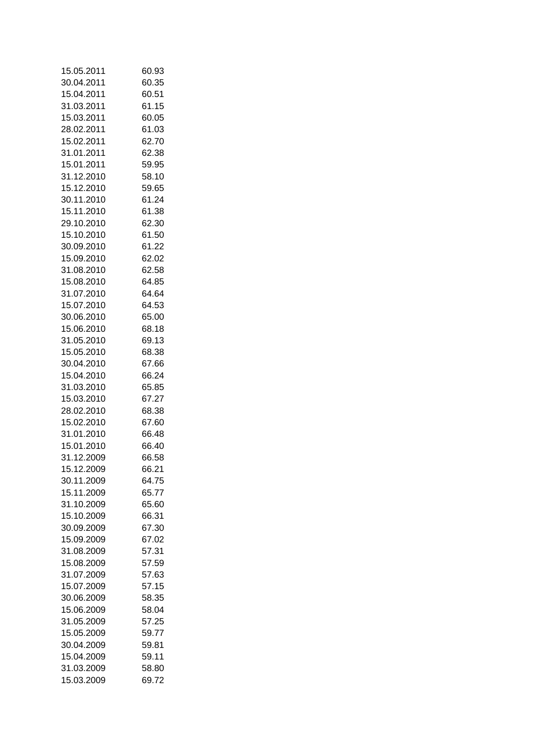| 15.05.2011 | 60.93          |
|------------|----------------|
| 30.04.2011 | 60.35          |
| 15.04.2011 | 60.51          |
| 31.03.2011 | 61.15          |
| 15.03.2011 | 60.05          |
| 28.02.2011 | 61.03          |
| 15.02.2011 | 62.70          |
| 31.01.2011 | 62.38          |
| 15.01.2011 | 59.95          |
| 31.12.2010 | 58.10          |
| 15.12.2010 | 59.65          |
| 30.11.2010 | 61.24          |
|            | 61.38          |
| 15.11.2010 |                |
| 29.10.2010 | 62.30          |
| 15.10.2010 | 61.50          |
| 30.09.2010 | 61.22          |
| 15.09.2010 | 62.02          |
| 31.08.2010 | 62.58          |
| 15.08.2010 | 64.85          |
| 31.07.2010 | 64.64          |
| 15.07.2010 | 64.53          |
| 30.06.2010 | 65.00          |
| 15.06.2010 | 68.18          |
| 31.05.2010 | 69.13          |
| 15.05.2010 | 68.38          |
| 30.04.2010 | 67.66          |
| 15.04.2010 | 66.24          |
| 31.03.2010 | 65.85          |
| 15.03.2010 | 67.27          |
| 28.02.2010 | 68.38          |
| 15.02.2010 | 67.60          |
| 31.01.2010 | 66.48          |
| 15.01.2010 | 66.40          |
| 31.12.2009 | 66.58          |
| 15.12.2009 | 66.21          |
| 30.11.2009 | 64.75          |
| 15.11.2009 | 65.77          |
| 31.10.2009 |                |
|            | 65.60<br>66.31 |
| 15.10.2009 |                |
| 30.09.2009 | 67.30          |
| 15.09.2009 | 67.02          |
| 31.08.2009 | 57.31          |
| 15.08.2009 | 57.59          |
| 31.07.2009 | 57.63          |
| 15.07.2009 | 57.15          |
| 30.06.2009 | 58.35          |
| 15.06.2009 | 58.04          |
| 31.05.2009 | 57.25          |
| 15.05.2009 | 59.77          |
| 30.04.2009 | 59.81          |
| 15.04.2009 | 59.11          |
| 31.03.2009 | 58.80          |
| 15.03.2009 | 69.72          |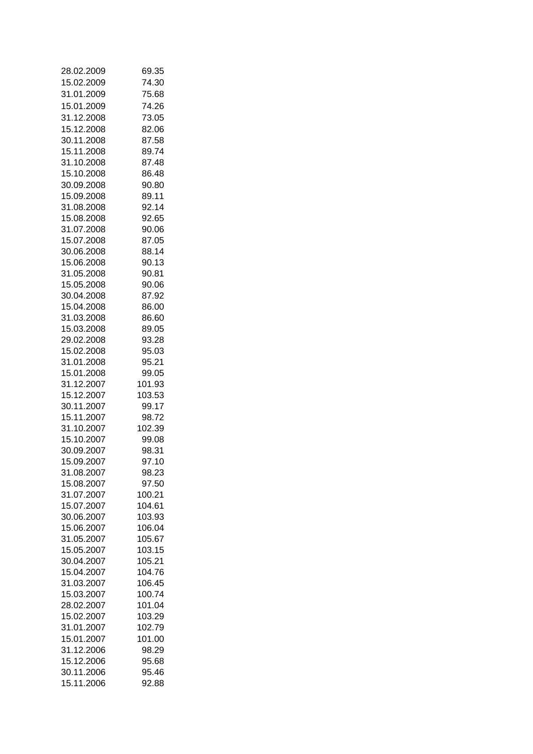| 28.02.2009 | 69.35  |
|------------|--------|
| 15.02.2009 | 74.30  |
| 31.01.2009 | 75.68  |
| 15.01.2009 | 74.26  |
| 31.12.2008 | 73.05  |
| 15.12.2008 | 82.06  |
| 30.11.2008 | 87.58  |
| 15.11.2008 | 89.74  |
| 31.10.2008 | 87.48  |
| 15.10.2008 | 86.48  |
|            |        |
| 30.09.2008 | 90.80  |
| 15.09.2008 | 89.11  |
| 31.08.2008 | 92.14  |
| 15.08.2008 | 92.65  |
| 31.07.2008 | 90.06  |
| 15.07.2008 | 87.05  |
| 30.06.2008 | 88.14  |
| 15.06.2008 | 90.13  |
| 31.05.2008 | 90.81  |
| 15.05.2008 | 90.06  |
| 30.04.2008 | 87.92  |
| 15.04.2008 | 86.00  |
| 31.03.2008 | 86.60  |
| 15.03.2008 | 89.05  |
| 29.02.2008 | 93.28  |
| 15.02.2008 | 95.03  |
| 31.01.2008 | 95.21  |
| 15.01.2008 | 99.05  |
| 31.12.2007 | 101.93 |
| 15.12.2007 | 103.53 |
| 30.11.2007 | 99.17  |
| 15.11.2007 | 98.72  |
| 31.10.2007 | 102.39 |
| 15.10.2007 | 99.08  |
| 30.09.2007 | 98.31  |
| 15.09.2007 | 97.10  |
| 31.08.2007 | 98.23  |
| 15.08.2007 | 97.50  |
| 31.07.2007 | 100.21 |
| 15.07.2007 | 104.61 |
| 30.06.2007 | 103.93 |
| 15.06.2007 | 106.04 |
| 31.05.2007 | 105.67 |
|            | 103.15 |
| 15.05.2007 |        |
| 30.04.2007 | 105.21 |
| 15.04.2007 | 104.76 |
| 31.03.2007 | 106.45 |
| 15.03.2007 | 100.74 |
| 28.02.2007 | 101.04 |
| 15.02.2007 | 103.29 |
| 31.01.2007 | 102.79 |
| 15.01.2007 | 101.00 |
| 31.12.2006 | 98.29  |
| 15.12.2006 | 95.68  |
| 30.11.2006 | 95.46  |
| 15.11.2006 | 92.88  |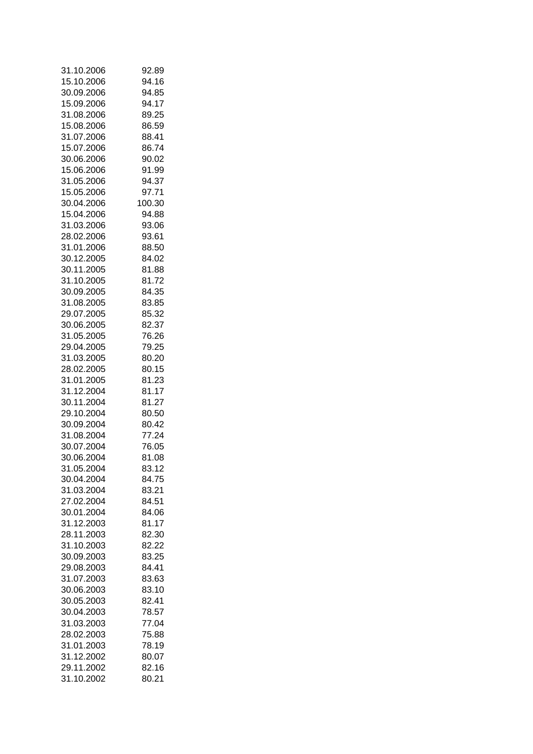| 31.10.2006 | 92.89  |
|------------|--------|
| 15.10.2006 | 94.16  |
| 30.09.2006 | 94.85  |
| 15.09.2006 | 94.17  |
| 31.08.2006 | 89.25  |
| 15.08.2006 | 86.59  |
| 31.07.2006 | 88.41  |
| 15.07.2006 | 86.74  |
| 30.06.2006 | 90.02  |
| 15.06.2006 | 91.99  |
| 31.05.2006 | 94.37  |
| 15.05.2006 | 97.71  |
| 30.04.2006 | 100.30 |
| 15.04.2006 | 94.88  |
| 31.03.2006 | 93.06  |
| 28.02.2006 | 93.61  |
| 31.01.2006 | 88.50  |
| 30.12.2005 | 84.02  |
| 30.11.2005 | 81.88  |
| 31.10.2005 | 81.72  |
| 30.09.2005 | 84.35  |
| 31.08.2005 | 83.85  |
| 29.07.2005 | 85.32  |
| 30.06.2005 | 82.37  |
| 31.05.2005 | 76.26  |
| 29.04.2005 | 79.25  |
| 31.03.2005 | 80.20  |
| 28.02.2005 | 80.15  |
| 31.01.2005 | 81.23  |
| 31.12.2004 | 81.17  |
| 30.11.2004 | 81.27  |
| 29.10.2004 | 80.50  |
| 30.09.2004 | 80.42  |
| 31.08.2004 | 77.24  |
| 30.07.2004 | 76.05  |
| 30.06.2004 | 81.08  |
| 31.05.2004 | 83.12  |
| 30.04.2004 | 84.75  |
| 31.03.2004 | 83.21  |
| 27.02.2004 | 84.51  |
| 30.01.2004 | 84.06  |
| 31.12.2003 | 81.17  |
| 28.11.2003 | 82.30  |
| 31.10.2003 | 82.22  |
| 30.09.2003 | 83.25  |
| 29.08.2003 | 84.41  |
| 31.07.2003 | 83.63  |
| 30.06.2003 | 83.10  |
| 30.05.2003 | 82.41  |
| 30.04.2003 | 78.57  |
| 31.03.2003 | 77.04  |
| 28.02.2003 | 75.88  |
| 31.01.2003 | 78.19  |
| 31.12.2002 | 80.07  |
| 29.11.2002 | 82.16  |
|            |        |
| 31.10.2002 | 80.21  |